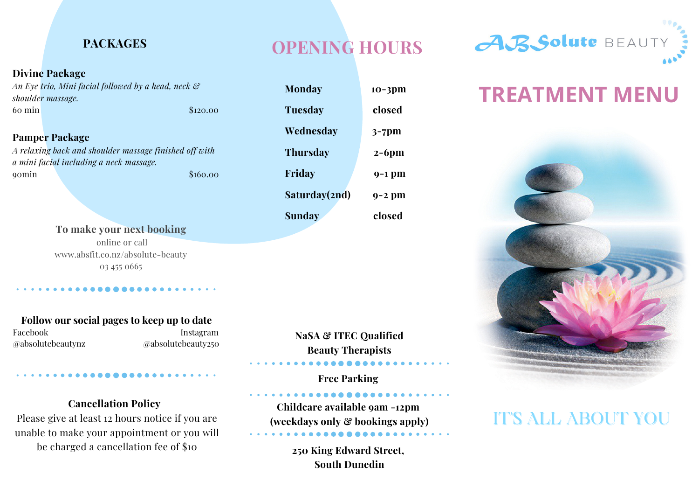## **PACKAGES**

#### **Divine Package**

*An Eye trio, Mini facial followed by a head, neck & shoulder massage.* 60 min \$120.00

**Pamper Package** *A relaxing back and shoulder massage finished off with a mini facial including a neck massage.* 00min \$160.00

> **To make your next booking** online or call www.absfit.co.nz/absolute-beauty 03 455 0665

**Follow our social pages to keep up to date** Facebook Instagram @absolutebeautynz @absolutebeauty250

## **OPENING HOURS**

**Monday 10-3pm Tuesday closed Wednesday 3-7pm Thursday 2-6pm Friday 9-1 pm Saturday(2nd) 9-2 pm Sunday closed**

**NaSA & ITEC Qualified Beauty Therapists**

**Free Parking**

**Childcare available 9am -12pm (weekdays only & bookings apply)**

> **250 King Edward Street, South Dunedin**

# **TREATMENT MENU**



## IT'S ALL ABOUT YOU

## **Cancellation Policy**

Please give at least 12 hours notice if you are unable to make your appointment or you will be charged a cancellation fee of \$10

ABSolute BEAUT